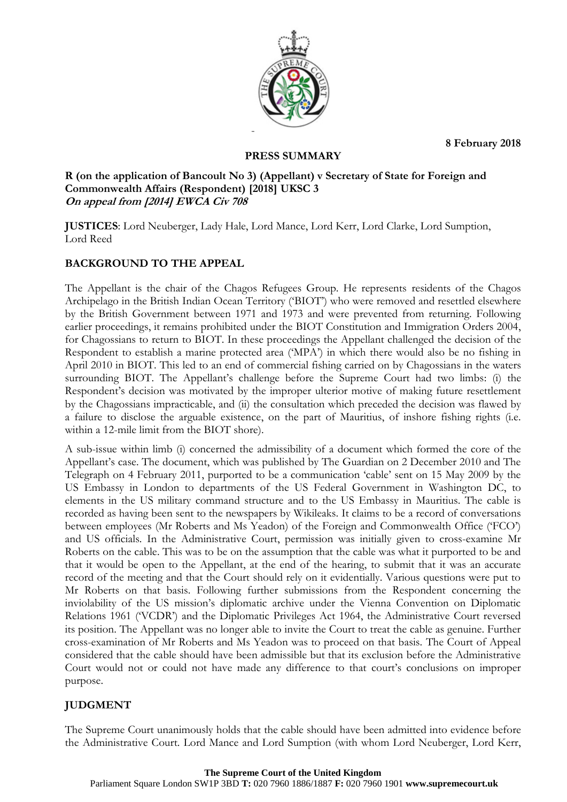**8 February 2018**



## **PRESS SUMMARY**

## **R (on the application of Bancoult No 3) (Appellant) v Secretary of State for Foreign and Commonwealth Affairs (Respondent) [2018] UKSC 3 On appeal from [2014] EWCA Civ 708**

**JUSTICES**: Lord Neuberger, Lady Hale, Lord Mance, Lord Kerr, Lord Clarke, Lord Sumption, Lord Reed

# **BACKGROUND TO THE APPEAL**

The Appellant is the chair of the Chagos Refugees Group. He represents residents of the Chagos Archipelago in the British Indian Ocean Territory ('BIOT') who were removed and resettled elsewhere by the British Government between 1971 and 1973 and were prevented from returning. Following earlier proceedings, it remains prohibited under the BIOT Constitution and Immigration Orders 2004, for Chagossians to return to BIOT. In these proceedings the Appellant challenged the decision of the Respondent to establish a marine protected area ('MPA') in which there would also be no fishing in April 2010 in BIOT. This led to an end of commercial fishing carried on by Chagossians in the waters surrounding BIOT. The Appellant's challenge before the Supreme Court had two limbs: (i) the Respondent's decision was motivated by the improper ulterior motive of making future resettlement by the Chagossians impracticable, and (ii) the consultation which preceded the decision was flawed by a failure to disclose the arguable existence, on the part of Mauritius, of inshore fishing rights (i.e. within a 12-mile limit from the BIOT shore).

A sub-issue within limb (i) concerned the admissibility of a document which formed the core of the Appellant's case. The document, which was published by The Guardian on 2 December 2010 and The Telegraph on 4 February 2011, purported to be a communication 'cable' sent on 15 May 2009 by the US Embassy in London to departments of the US Federal Government in Washington DC, to elements in the US military command structure and to the US Embassy in Mauritius. The cable is recorded as having been sent to the newspapers by Wikileaks. It claims to be a record of conversations between employees (Mr Roberts and Ms Yeadon) of the Foreign and Commonwealth Office ('FCO') and US officials. In the Administrative Court, permission was initially given to cross-examine Mr Roberts on the cable. This was to be on the assumption that the cable was what it purported to be and that it would be open to the Appellant, at the end of the hearing, to submit that it was an accurate record of the meeting and that the Court should rely on it evidentially. Various questions were put to Mr Roberts on that basis. Following further submissions from the Respondent concerning the inviolability of the US mission's diplomatic archive under the Vienna Convention on Diplomatic Relations 1961 ('VCDR') and the Diplomatic Privileges Act 1964, the Administrative Court reversed its position. The Appellant was no longer able to invite the Court to treat the cable as genuine. Further cross-examination of Mr Roberts and Ms Yeadon was to proceed on that basis. The Court of Appeal considered that the cable should have been admissible but that its exclusion before the Administrative Court would not or could not have made any difference to that court's conclusions on improper purpose.

# **JUDGMENT**

The Supreme Court unanimously holds that the cable should have been admitted into evidence before the Administrative Court. Lord Mance and Lord Sumption (with whom Lord Neuberger, Lord Kerr,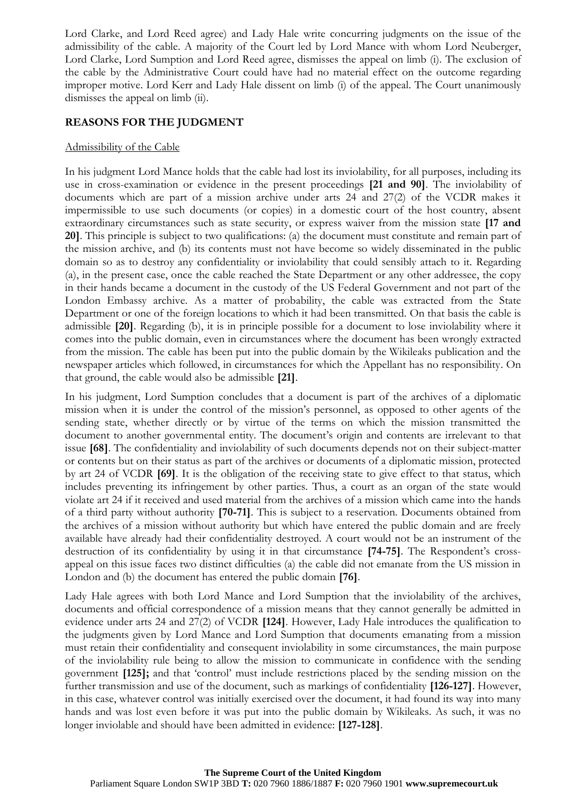Lord Clarke, and Lord Reed agree) and Lady Hale write concurring judgments on the issue of the admissibility of the cable. A majority of the Court led by Lord Mance with whom Lord Neuberger, Lord Clarke, Lord Sumption and Lord Reed agree, dismisses the appeal on limb (i). The exclusion of the cable by the Administrative Court could have had no material effect on the outcome regarding improper motive. Lord Kerr and Lady Hale dissent on limb (i) of the appeal. The Court unanimously dismisses the appeal on limb (ii).

### **REASONS FOR THE JUDGMENT**

### Admissibility of the Cable

In his judgment Lord Mance holds that the cable had lost its inviolability, for all purposes, including its use in cross-examination or evidence in the present proceedings **[21 and 90]**. The inviolability of documents which are part of a mission archive under arts 24 and 27(2) of the VCDR makes it impermissible to use such documents (or copies) in a domestic court of the host country, absent extraordinary circumstances such as state security, or express waiver from the mission state **[17 and 20]**. This principle is subject to two qualifications: (a) the document must constitute and remain part of the mission archive, and (b) its contents must not have become so widely disseminated in the public domain so as to destroy any confidentiality or inviolability that could sensibly attach to it. Regarding (a), in the present case, once the cable reached the State Department or any other addressee, the copy in their hands became a document in the custody of the US Federal Government and not part of the London Embassy archive. As a matter of probability, the cable was extracted from the State Department or one of the foreign locations to which it had been transmitted. On that basis the cable is admissible **[20]**. Regarding (b), it is in principle possible for a document to lose inviolability where it comes into the public domain, even in circumstances where the document has been wrongly extracted from the mission. The cable has been put into the public domain by the Wikileaks publication and the newspaper articles which followed, in circumstances for which the Appellant has no responsibility. On that ground, the cable would also be admissible **[21]**.

In his judgment, Lord Sumption concludes that a document is part of the archives of a diplomatic mission when it is under the control of the mission's personnel, as opposed to other agents of the sending state, whether directly or by virtue of the terms on which the mission transmitted the document to another governmental entity. The document's origin and contents are irrelevant to that issue **[68]**. The confidentiality and inviolability of such documents depends not on their subject-matter or contents but on their status as part of the archives or documents of a diplomatic mission, protected by art 24 of VCDR **[69]**. It is the obligation of the receiving state to give effect to that status, which includes preventing its infringement by other parties. Thus, a court as an organ of the state would violate art 24 if it received and used material from the archives of a mission which came into the hands of a third party without authority **[70-71]**. This is subject to a reservation. Documents obtained from the archives of a mission without authority but which have entered the public domain and are freely available have already had their confidentiality destroyed. A court would not be an instrument of the destruction of its confidentiality by using it in that circumstance **[74-75]**. The Respondent's crossappeal on this issue faces two distinct difficulties (a) the cable did not emanate from the US mission in London and (b) the document has entered the public domain **[76]**.

Lady Hale agrees with both Lord Mance and Lord Sumption that the inviolability of the archives, documents and official correspondence of a mission means that they cannot generally be admitted in evidence under arts 24 and 27(2) of VCDR **[124]**. However, Lady Hale introduces the qualification to the judgments given by Lord Mance and Lord Sumption that documents emanating from a mission must retain their confidentiality and consequent inviolability in some circumstances, the main purpose of the inviolability rule being to allow the mission to communicate in confidence with the sending government **[125];** and that 'control' must include restrictions placed by the sending mission on the further transmission and use of the document, such as markings of confidentiality **[126-127]**. However, in this case, whatever control was initially exercised over the document, it had found its way into many hands and was lost even before it was put into the public domain by Wikileaks. As such, it was no longer inviolable and should have been admitted in evidence: **[127-128]**.